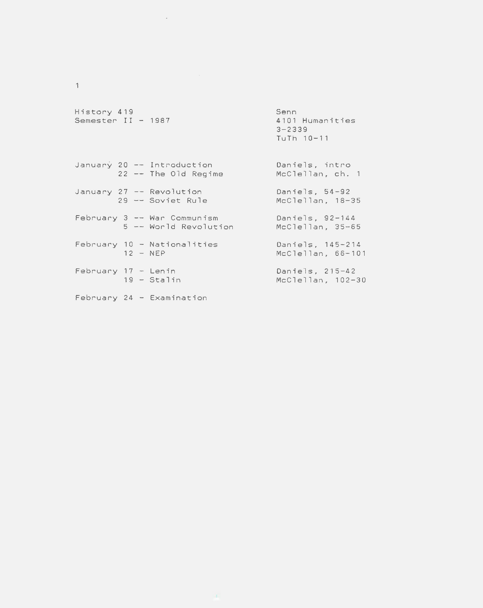| History 419<br>Semester II - 1987 | Senn<br>4101 Humanities<br>$3 - 2339$<br>TuTh 10-11 |
|-----------------------------------|-----------------------------------------------------|
| January 20 -- Introduction        | Daniels, intro                                      |
| 22 -- The Old Regime              | McClellan, ch. 1                                    |
| January 27 -- Revolution          | Daniels, 54-92                                      |
| 29 -- Soviet Rule                 | McClellan, 18-35                                    |
| February 3 -- War Communism       | Daniels, 92-144                                     |
| 5 -- World Revolution             | McClellan, 35-65                                    |
| February 10 - Nationalities       | Daniels, 145-214                                    |
| $12 - NEP$                        | McClellan, 66-101                                   |
| February 17 - Lenin               | Daniels, 215-42                                     |
| $19 - \text{Stalin}$              | McClellan, 102-30                                   |
| February 24 - Examination         |                                                     |

 $\uparrow$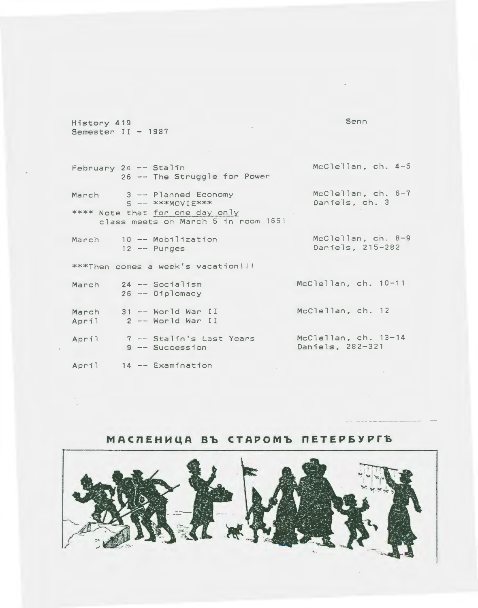History 419 Semester II - 1987 Senn

February 24 -- Stalin 26 -- The Struggle for Power 3 -- Planned Economy March 5 -- \*\*\*MOVIE\*\*\* \*\*\*\* Note that for one day only class meets on March 5 in room 1651 10 -- Mobilization March  $12 -$  Purges \*\*\*Then comes a week's vacation!!! 24 -- Socialism March 26 -- Diplomacy March 31 -- World War II<br>April 2 -- World War II

April 14 -- Examination

9 -- Succession

April

McClellan, ch. 4-5

McClellan, ch. 6-7 Daniels, ch. 3

McClellan, ch. 8-9 Daniels, 215-282

McClellan, ch. 10-11

McClellan, ch. 12

7 -- Stalin's Last Years McClellan, ch. 13-14 Daniels, 282-321

 $\sim$   $\sim$ 

МАСЛЕНИЦА ВЪ СТАРОМЪ ПЕТЕРБУРГЪ

 $\sim 10^{-1}$ 

 $\sim 100$